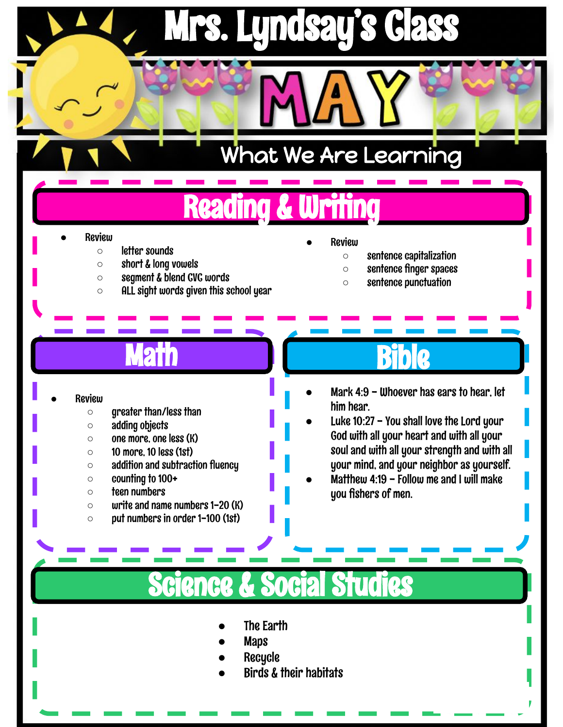